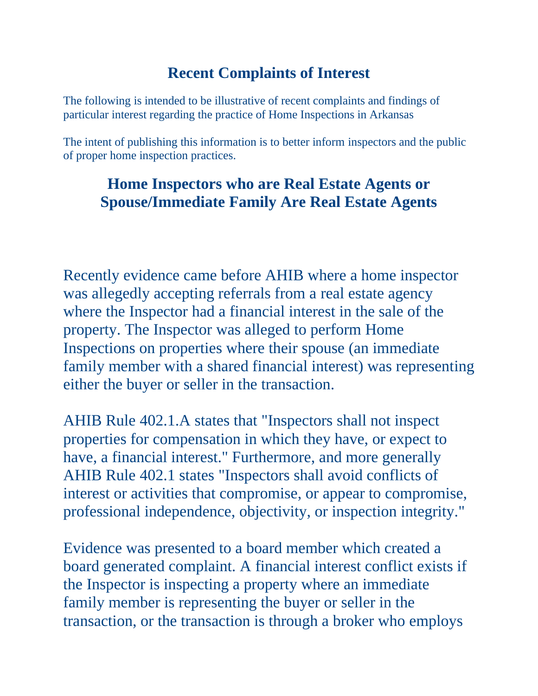## **Recent Complaints of Interest**

The following is intended to be illustrative of recent complaints and findings of particular interest regarding the practice of Home Inspections in Arkansas

The intent of publishing this information is to better inform inspectors and the public of proper home inspection practices.

## **Home Inspectors who are Real Estate Agents or Spouse/Immediate Family Are Real Estate Agents**

Recently evidence came before AHIB where a home inspector was allegedly accepting referrals from a real estate agency where the Inspector had a financial interest in the sale of the property. The Inspector was alleged to perform Home Inspections on properties where their spouse (an immediate family member with a shared financial interest) was representing either the buyer or seller in the transaction.

AHIB Rule 402.1.A states that "Inspectors shall not inspect properties for compensation in which they have, or expect to have, a financial interest." Furthermore, and more generally AHIB Rule 402.1 states "Inspectors shall avoid conflicts of interest or activities that compromise, or appear to compromise, professional independence, objectivity, or inspection integrity."

Evidence was presented to a board member which created a board generated complaint. A financial interest conflict exists if the Inspector is inspecting a property where an immediate family member is representing the buyer or seller in the transaction, or the transaction is through a broker who employs